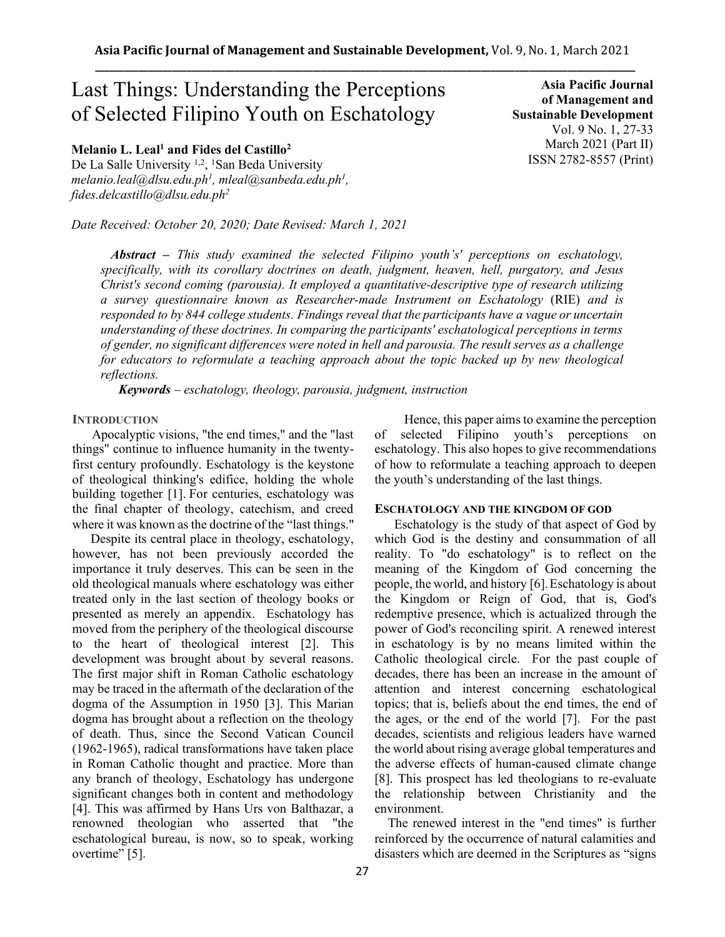# Last Things: Understanding the Perceptions of Selected Filipino Youth on Eschatology

**Melanio L. Leal<sup>1</sup> and Fides del Castillo<sup>2</sup>**

De La Salle University<sup>1,2</sup>, <sup>1</sup>San Beda University *melanio.leal@dlsu.edu.ph<sup>1</sup> , mleal@sanbeda.edu.ph<sup>1</sup> , fides.delcastillo@dlsu.edu.ph<sup>2</sup>*

*Date Received: October 20, 2020; Date Revised: March 1, 2021*

**Asia Pacific Journal of Management and Sustainable Development**  Vol. 9 No. 1, 27-33 March 2021 (Part II) ISSN 2782-8557 (Print)

*Abstract – This study examined the selected Filipino youth's' perceptions on eschatology, specifically, with its corollary doctrines on death, judgment, heaven, hell, purgatory, and Jesus Christ's second coming (parousia). It employed a quantitative-descriptive type of research utilizing a survey questionnaire known as Researcher-made Instrument on Eschatology* (RIE) *and is responded to by 844 college students. Findings reveal that the participants have a vague or uncertain understanding of these doctrines. In comparing the participants' eschatological perceptions in terms of gender, no significant differences were noted in hell and parousia. The result serves as a challenge for educators to reformulate a teaching approach about the topic backed up by new theological reflections.*

*Keywords – eschatology, theology, parousia, judgment, instruction*

### **INTRODUCTION**

 Apocalyptic visions, "the end times," and the "last things" continue to influence humanity in the twentyfirst century profoundly. Eschatology is the keystone of theological thinking's edifice, holding the whole building together [1]. For centuries, eschatology was the final chapter of theology, catechism, and creed where it was known as the doctrine of the "last things."

Despite its central place in theology, eschatology, however, has not been previously accorded the importance it truly deserves. This can be seen in the old theological manuals where eschatology was either treated only in the last section of theology books or presented as merely an appendix. Eschatology has moved from the periphery of the theological discourse to the heart of theological interest [2]. This development was brought about by several reasons. The first major shift in Roman Catholic eschatology may be traced in the aftermath of the declaration of the dogma of the Assumption in 1950 [3]. This Marian dogma has brought about a reflection on the theology of death. Thus, since the Second Vatican Council (1962-1965), radical transformations have taken place in Roman Catholic thought and practice. More than any branch of theology, Eschatology has undergone significant changes both in content and methodology [4]. This was affirmed by Hans Urs von Balthazar, a renowned theologian who asserted that "the eschatological bureau, is now, so to speak, working overtime" [5].

Hence, this paper aims to examine the perception of selected Filipino youth's perceptions on eschatology. This also hopes to give recommendations of how to reformulate a teaching approach to deepen the youth's understanding of the last things.

#### **ESCHATOLOGY AND THE KINGDOM OF GOD**

 Eschatology is the study of that aspect of God by which God is the destiny and consummation of all reality. To "do eschatology" is to reflect on the meaning of the Kingdom of God concerning the people, the world, and history [6].Eschatology is about the Kingdom or Reign of God, that is, God's redemptive presence, which is actualized through the power of God's reconciling spirit. A renewed interest in eschatology is by no means limited within the Catholic theological circle. For the past couple of decades, there has been an increase in the amount of attention and interest concerning eschatological topics; that is, beliefs about the end times, the end of the ages, or the end of the world [7]. For the past decades, scientists and religious leaders have warned the world about rising average global temperatures and the adverse effects of human-caused climate change [8]. This prospect has led theologians to re-evaluate the relationship between Christianity and the environment.

 The renewed interest in the "end times" is further reinforced by the occurrence of natural calamities and disasters which are deemed in the Scriptures as "signs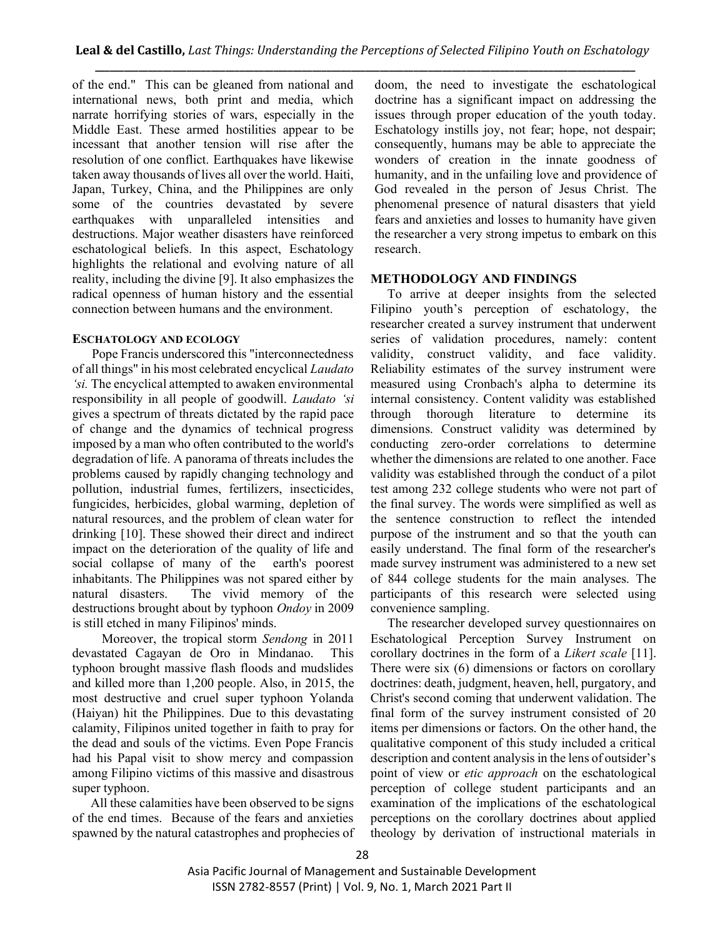of the end." This can be gleaned from national and international news, both print and media, which narrate horrifying stories of wars, especially in the Middle East. These armed hostilities appear to be incessant that another tension will rise after the resolution of one conflict. Earthquakes have likewise taken away thousands of lives all over the world. Haiti, Japan, Turkey, China, and the Philippines are only some of the countries devastated by severe earthquakes with unparalleled intensities and destructions. Major weather disasters have reinforced eschatological beliefs. In this aspect, Eschatology highlights the relational and evolving nature of all reality, including the divine [9]. It also emphasizes the radical openness of human history and the essential connection between humans and the environment.

## **ESCHATOLOGY AND ECOLOGY**

 Pope Francis underscored this "interconnectedness of all things" in his most celebrated encyclical *Laudato 'si.* The encyclical attempted to awaken environmental responsibility in all people of goodwill. *Laudato 'si* gives a spectrum of threats dictated by the rapid pace of change and the dynamics of technical progress imposed by a man who often contributed to the world's degradation of life. A panorama of threats includes the problems caused by rapidly changing technology and pollution, industrial fumes, fertilizers, insecticides, fungicides, herbicides, global warming, depletion of natural resources, and the problem of clean water for drinking [10]. These showed their direct and indirect impact on the deterioration of the quality of life and social collapse of many of the earth's poorest inhabitants. The Philippines was not spared either by natural disasters. The vivid memory of the destructions brought about by typhoon *Ondoy* in 2009 is still etched in many Filipinos' minds.

Moreover, the tropical storm *Sendong* in 2011 devastated Cagayan de Oro in Mindanao. This typhoon brought massive flash floods and mudslides and killed more than 1,200 people. Also, in 2015, the most destructive and cruel super typhoon Yolanda (Haiyan) hit the Philippines. Due to this devastating calamity, Filipinos united together in faith to pray for the dead and souls of the victims. Even Pope Francis had his Papal visit to show mercy and compassion among Filipino victims of this massive and disastrous super typhoon.

All these calamities have been observed to be signs of the end times. Because of the fears and anxieties spawned by the natural catastrophes and prophecies of doom, the need to investigate the eschatological doctrine has a significant impact on addressing the issues through proper education of the youth today. Eschatology instills joy, not fear; hope, not despair; consequently, humans may be able to appreciate the wonders of creation in the innate goodness of humanity, and in the unfailing love and providence of God revealed in the person of Jesus Christ. The phenomenal presence of natural disasters that yield fears and anxieties and losses to humanity have given the researcher a very strong impetus to embark on this research.

## **METHODOLOGY AND FINDINGS**

To arrive at deeper insights from the selected Filipino youth's perception of eschatology, the researcher created a survey instrument that underwent series of validation procedures, namely: content validity, construct validity, and face validity. Reliability estimates of the survey instrument were measured using Cronbach's alpha to determine its internal consistency. Content validity was established through thorough literature to determine its dimensions. Construct validity was determined by conducting zero-order correlations to determine whether the dimensions are related to one another. Face validity was established through the conduct of a pilot test among 232 college students who were not part of the final survey. The words were simplified as well as the sentence construction to reflect the intended purpose of the instrument and so that the youth can easily understand. The final form of the researcher's made survey instrument was administered to a new set of 844 college students for the main analyses. The participants of this research were selected using convenience sampling.

The researcher developed survey questionnaires on Eschatological Perception Survey Instrument on corollary doctrines in the form of a *Likert scale* [11]. There were six (6) dimensions or factors on corollary doctrines: death, judgment, heaven, hell, purgatory, and Christ's second coming that underwent validation. The final form of the survey instrument consisted of 20 items per dimensions or factors. On the other hand, the qualitative component of this study included a critical description and content analysis in the lens of outsider's point of view or *etic approach* on the eschatological perception of college student participants and an examination of the implications of the eschatological perceptions on the corollary doctrines about applied theology by derivation of instructional materials in

Asia Pacific Journal of Management and Sustainable Development ISSN 2782-8557 (Print) | Vol. 9, No. 1, March 2021 Part II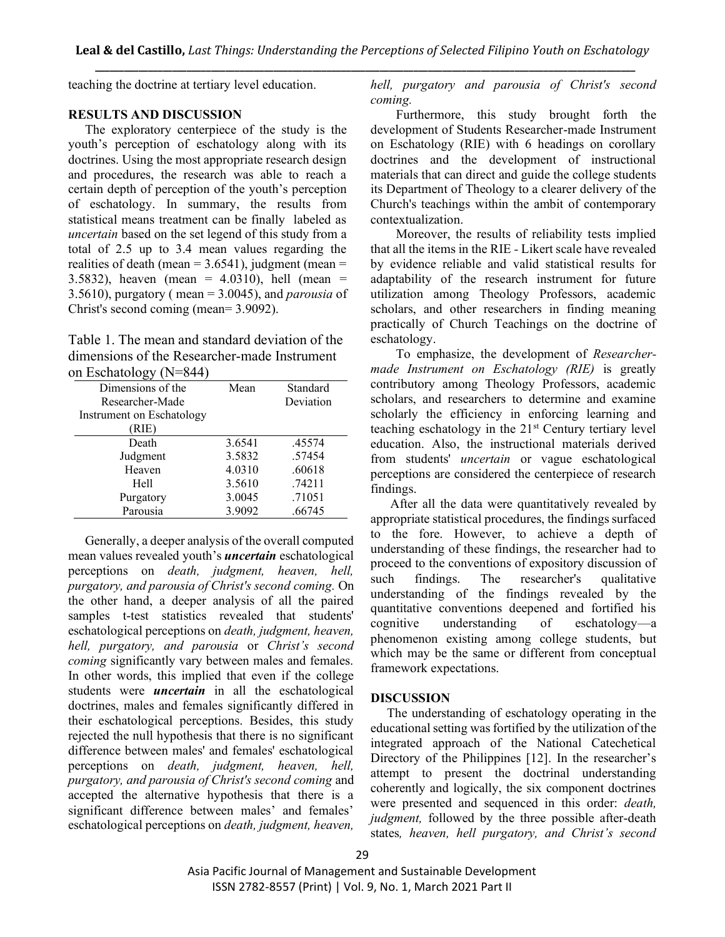teaching the doctrine at tertiary level education.

## **RESULTS AND DISCUSSION**

The exploratory centerpiece of the study is the youth's perception of eschatology along with its doctrines. Using the most appropriate research design and procedures, the research was able to reach a certain depth of perception of the youth's perception of eschatology. In summary, the results from statistical means treatment can be finally labeled as *uncertain* based on the set legend of this study from a total of 2.5 up to 3.4 mean values regarding the realities of death (mean  $= 3.6541$ ), judgment (mean  $=$ 3.5832), heaven (mean = 4.0310), hell (mean = 3.5610), purgatory ( mean = 3.0045), and *parousia* of Christ's second coming (mean= 3.9092).

Table 1. The mean and standard deviation of the dimensions of the Researcher-made Instrument on Eschatology (N=844)

| Mean   | Standard  |
|--------|-----------|
|        | Deviation |
|        |           |
|        |           |
| 3.6541 | .45574    |
| 3.5832 | .57454    |
| 4.0310 | .60618    |
| 3.5610 | .74211    |
| 3.0045 | .71051    |
| 3.9092 | .66745    |
|        |           |

Generally, a deeper analysis of the overall computed mean values revealed youth's *uncertain* eschatological perceptions on *death, judgment, heaven, hell, purgatory, and parousia of Christ's second coming.* On the other hand, a deeper analysis of all the paired samples t-test statistics revealed that students' eschatological perceptions on *death, judgment, heaven, hell, purgatory, and parousia* or *Christ's second coming* significantly vary between males and females. In other words, this implied that even if the college students were *uncertain* in all the eschatological doctrines, males and females significantly differed in their eschatological perceptions. Besides, this study rejected the null hypothesis that there is no significant difference between males' and females' eschatological perceptions on *death, judgment, heaven, hell, purgatory, and parousia of Christ's second coming* and accepted the alternative hypothesis that there is a significant difference between males' and females' eschatological perceptions on *death, judgment, heaven,*  *hell, purgatory and parousia of Christ's second coming.*

Furthermore, this study brought forth the development of Students Researcher-made Instrument on Eschatology (RIE) with 6 headings on corollary doctrines and the development of instructional materials that can direct and guide the college students its Department of Theology to a clearer delivery of the Church's teachings within the ambit of contemporary contextualization.

Moreover, the results of reliability tests implied that all the items in the RIE *-* Likert scale have revealed by evidence reliable and valid statistical results for adaptability of the research instrument for future utilization among Theology Professors, academic scholars, and other researchers in finding meaning practically of Church Teachings on the doctrine of eschatology.

To emphasize, the development of *Researchermade Instrument on Eschatology (RIE)* is greatly contributory among Theology Professors, academic scholars, and researchers to determine and examine scholarly the efficiency in enforcing learning and teaching eschatology in the 21st Century tertiary level education. Also, the instructional materials derived from students' *uncertain* or vague eschatological perceptions are considered the centerpiece of research findings.

After all the data were quantitatively revealed by appropriate statistical procedures, the findings surfaced to the fore. However, to achieve a depth of understanding of these findings, the researcher had to proceed to the conventions of expository discussion of such findings. The researcher's qualitative understanding of the findings revealed by the quantitative conventions deepened and fortified his cognitive understanding of eschatology—a phenomenon existing among college students, but which may be the same or different from conceptual framework expectations.

# **DISCUSSION**

The understanding of eschatology operating in the educational setting was fortified by the utilization of the integrated approach of the National Catechetical Directory of the Philippines [12]. In the researcher's attempt to present the doctrinal understanding coherently and logically, the six component doctrines were presented and sequenced in this order: *death, judgment*, followed by the three possible after-death states*, heaven, hell purgatory, and Christ's second* 

Asia Pacific Journal of Management and Sustainable Development ISSN 2782-8557 (Print) | Vol. 9, No. 1, March 2021 Part II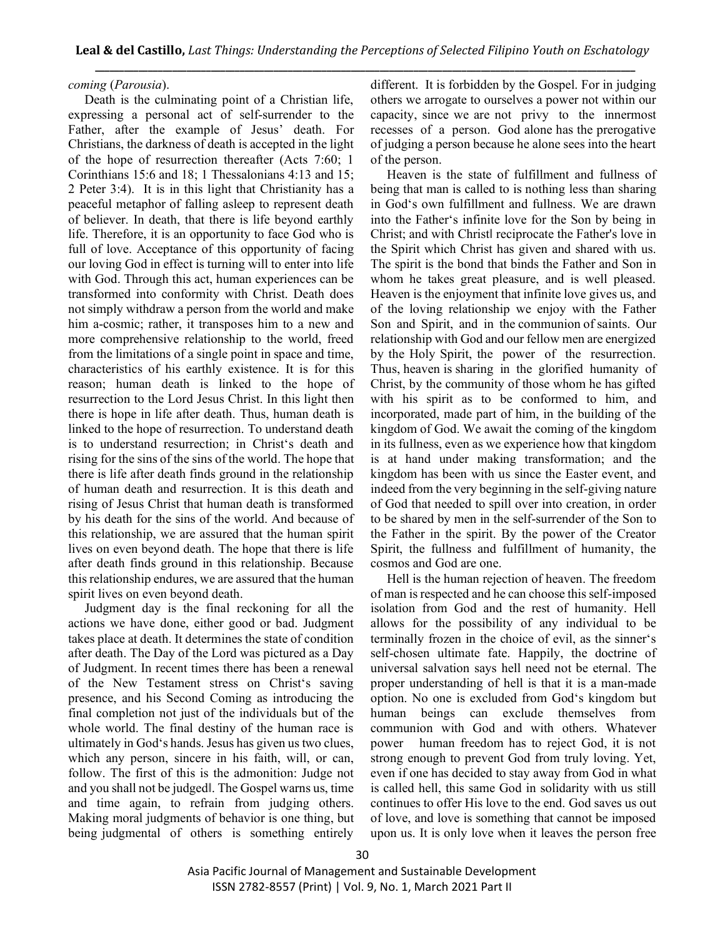## *coming* (*Parousia*).

 Death is the culminating point of a Christian life, expressing a personal act of self-surrender to the Father, after the example of Jesus' death. For Christians, the darkness of death is accepted in the light of the hope of resurrection thereafter (Acts 7:60; 1 Corinthians 15:6 and 18; 1 Thessalonians 4:13 and 15; 2 Peter 3:4). It is in this light that Christianity has a peaceful metaphor of falling asleep to represent death of believer. In death, that there is life beyond earthly life. Therefore, it is an opportunity to face God who is full of love. Acceptance of this opportunity of facing our loving God in effect is turning will to enter into life with God. Through this act, human experiences can be transformed into conformity with Christ. Death does not simply withdraw a person from the world and make him a-cosmic; rather, it transposes him to a new and more comprehensive relationship to the world, freed from the limitations of a single point in space and time, characteristics of his earthly existence. It is for this reason; human death is linked to the hope of resurrection to the Lord Jesus Christ. In this light then there is hope in life after death. Thus, human death is linked to the hope of resurrection. To understand death is to understand resurrection; in Christ's death and rising for the sins of the sins of the world. The hope that there is life after death finds ground in the relationship of human death and resurrection. It is this death and rising of Jesus Christ that human death is transformed by his death for the sins of the world. And because of this relationship, we are assured that the human spirit lives on even beyond death. The hope that there is life after death finds ground in this relationship. Because this relationship endures, we are assured that the human spirit lives on even beyond death.

 Judgment day is the final reckoning for all the actions we have done, either good or bad. Judgment takes place at death. It determines the state of condition after death. The Day of the Lord was pictured as a Day of Judgment. In recent times there has been a renewal of the New Testament stress on Christ's saving presence, and his Second Coming as introducing the final completion not just of the individuals but of the whole world. The final destiny of the human race is ultimately in God's hands. Jesus has given us two clues, which any person, sincere in his faith, will, or can, follow. The first of this is the admonition: Judge not and you shall not be judged‖. The Gospel warns us, time and time again, to refrain from judging others. Making moral judgments of behavior is one thing, but being judgmental of others is something entirely

different. It is forbidden by the Gospel. For in judging others we arrogate to ourselves a power not within our capacity, since we are not privy to the innermost recesses of a person. God alone has the prerogative of judging a person because he alone sees into the heart of the person.

 Heaven is the state of fulfillment and fullness of being that man is called to is nothing less than sharing in God's own fulfillment and fullness. We are drawn into the Father's infinite love for the Son by being in Christ; and with Christ‖ reciprocate the Father's love in the Spirit which Christ has given and shared with us. The spirit is the bond that binds the Father and Son in whom he takes great pleasure, and is well pleased. Heaven is the enjoyment that infinite love gives us, and of the loving relationship we enjoy with the Father Son and Spirit, and in the communion of saints. Our relationship with God and our fellow men are energized by the Holy Spirit, the power of the resurrection. Thus, heaven is sharing in the glorified humanity of Christ, by the community of those whom he has gifted with his spirit as to be conformed to him, and incorporated, made part of him, in the building of the kingdom of God. We await the coming of the kingdom in its fullness, even as we experience how that kingdom is at hand under making transformation; and the kingdom has been with us since the Easter event, and indeed from the very beginning in the self-giving nature of God that needed to spill over into creation, in order to be shared by men in the self-surrender of the Son to the Father in the spirit. By the power of the Creator Spirit, the fullness and fulfillment of humanity, the cosmos and God are one.

 Hell is the human rejection of heaven. The freedom of man is respected and he can choose this self-imposed isolation from God and the rest of humanity. Hell allows for the possibility of any individual to be terminally frozen in the choice of evil, as the sinner's self-chosen ultimate fate. Happily, the doctrine of universal salvation says hell need not be eternal. The proper understanding of hell is that it is a man-made option. No one is excluded from God's kingdom but human beings can exclude themselves from communion with God and with others. Whatever power human freedom has to reject God, it is not strong enough to prevent God from truly loving. Yet, even if one has decided to stay away from God in what is called hell, this same God in solidarity with us still continues to offer His love to the end. God saves us out of love, and love is something that cannot be imposed upon us. It is only love when it leaves the person free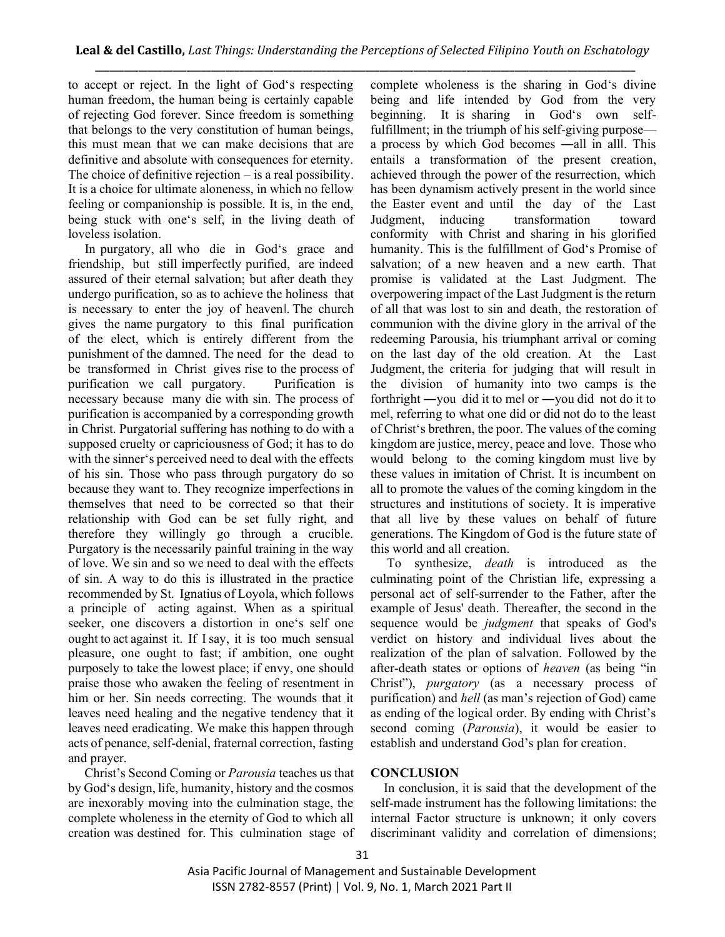to accept or reject. In the light of God's respecting human freedom, the human being is certainly capable of rejecting God forever. Since freedom is something that belongs to the very constitution of human beings, this must mean that we can make decisions that are definitive and absolute with consequences for eternity. The choice of definitive rejection – is a real possibility. It is a choice for ultimate aloneness, in which no fellow feeling or companionship is possible. It is, in the end, being stuck with one's self, in the living death of loveless isolation.

 In purgatory, all who die in God's grace and friendship, but still imperfectly purified, are indeed assured of their eternal salvation; but after death they undergo purification, so as to achieve the holiness that is necessary to enter the joy of heaven‖. The church gives the name purgatory to this final purification of the elect, which is entirely different from the punishment of the damned. The need for the dead to be transformed in Christ gives rise to the process of purification we call purgatory. Purification is necessary because many die with sin. The process of purification is accompanied by a corresponding growth in Christ. Purgatorial suffering has nothing to do with a supposed cruelty or capriciousness of God; it has to do with the sinner's perceived need to deal with the effects of his sin. Those who pass through purgatory do so because they want to. They recognize imperfections in themselves that need to be corrected so that their relationship with God can be set fully right, and therefore they willingly go through a crucible. Purgatory is the necessarily painful training in the way of love. We sin and so we need to deal with the effects of sin. A way to do this is illustrated in the practice recommended by St. Ignatius of Loyola, which follows a principle of acting against. When as a spiritual seeker, one discovers a distortion in one's self one ought to act against it. If I say, it is too much sensual pleasure, one ought to fast; if ambition, one ought purposely to take the lowest place; if envy, one should praise those who awaken the feeling of resentment in him or her. Sin needs correcting. The wounds that it leaves need healing and the negative tendency that it leaves need eradicating. We make this happen through acts of penance, self-denial, fraternal correction, fasting and prayer.

 Christ's Second Coming or *Parousia* teaches us that by God's design, life, humanity, history and the cosmos are inexorably moving into the culmination stage, the complete wholeness in the eternity of God to which all creation was destined for. This culmination stage of complete wholeness is the sharing in God's divine being and life intended by God from the very beginning. It is sharing in God's own selffulfillment; in the triumph of his self-giving purpose a process by which God becomes ―all in all‖. This entails a transformation of the present creation, achieved through the power of the resurrection, which has been dynamism actively present in the world since the Easter event and until the day of the Last Judgment, inducing transformation toward conformity with Christ and sharing in his glorified humanity. This is the fulfillment of God's Promise of salvation; of a new heaven and a new earth. That promise is validated at the Last Judgment. The overpowering impact of the Last Judgment is the return of all that was lost to sin and death, the restoration of communion with the divine glory in the arrival of the redeeming Parousia, his triumphant arrival or coming on the last day of the old creation. At the Last Judgment, the criteria for judging that will result in the division of humanity into two camps is the forthright ―you did it to me‖ or ―you did not do it to me‖, referring to what one did or did not do to the least of Christ's brethren, the poor. The values of the coming kingdom are justice, mercy, peace and love. Those who would belong to the coming kingdom must live by these values in imitation of Christ. It is incumbent on all to promote the values of the coming kingdom in the structures and institutions of society. It is imperative that all live by these values on behalf of future generations. The Kingdom of God is the future state of this world and all creation.

 To synthesize, *death* is introduced as the culminating point of the Christian life, expressing a personal act of self-surrender to the Father, after the example of Jesus' death. Thereafter, the second in the sequence would be *judgment* that speaks of God's verdict on history and individual lives about the realization of the plan of salvation. Followed by the after-death states or options of *heaven* (as being "in Christ"), *purgatory* (as a necessary process of purification) and *hell* (as man's rejection of God) came as ending of the logical order. By ending with Christ's second coming (*Parousia*), it would be easier to establish and understand God's plan for creation.

# **CONCLUSION**

In conclusion, it is said that the development of the self-made instrument has the following limitations: the internal Factor structure is unknown; it only covers discriminant validity and correlation of dimensions;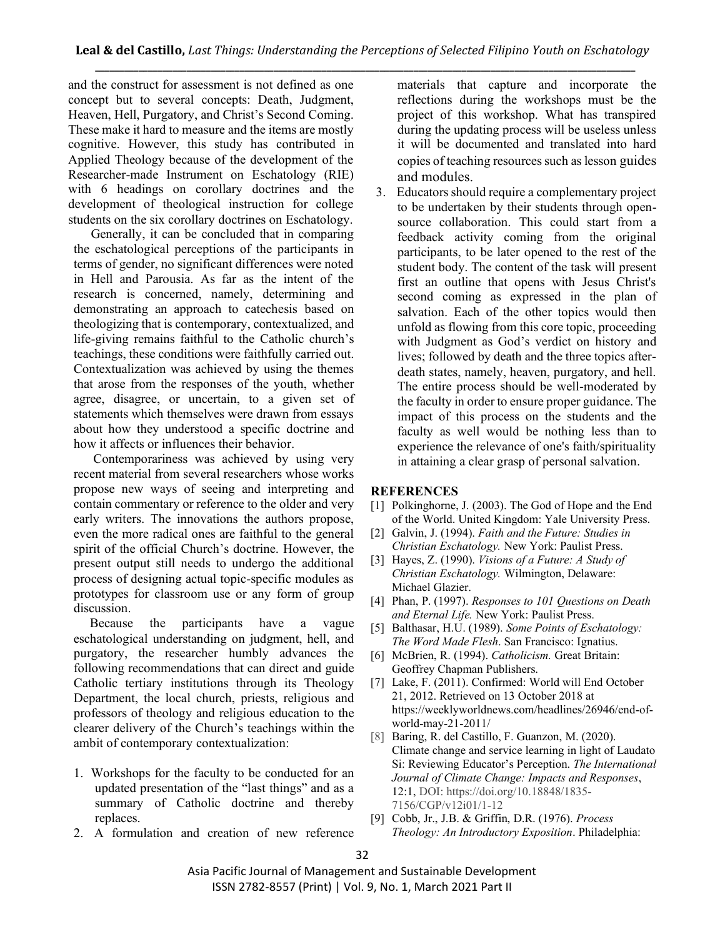and the construct for assessment is not defined as one concept but to several concepts: Death, Judgment, Heaven, Hell, Purgatory, and Christ's Second Coming. These make it hard to measure and the items are mostly cognitive. However, this study has contributed in Applied Theology because of the development of the Researcher-made Instrument on Eschatology (RIE) with 6 headings on corollary doctrines and the development of theological instruction for college students on the six corollary doctrines on Eschatology.

Generally, it can be concluded that in comparing the eschatological perceptions of the participants in terms of gender, no significant differences were noted in Hell and Parousia. As far as the intent of the research is concerned, namely, determining and demonstrating an approach to catechesis based on theologizing that is contemporary, contextualized, and life-giving remains faithful to the Catholic church's teachings, these conditions were faithfully carried out. Contextualization was achieved by using the themes that arose from the responses of the youth, whether agree, disagree, or uncertain, to a given set of statements which themselves were drawn from essays about how they understood a specific doctrine and how it affects or influences their behavior.

 Contemporariness was achieved by using very recent material from several researchers whose works propose new ways of seeing and interpreting and contain commentary or reference to the older and very early writers. The innovations the authors propose, even the more radical ones are faithful to the general spirit of the official Church's doctrine. However, the present output still needs to undergo the additional process of designing actual topic-specific modules as prototypes for classroom use or any form of group discussion.

 Because the participants have a vague eschatological understanding on judgment, hell, and purgatory, the researcher humbly advances the following recommendations that can direct and guide Catholic tertiary institutions through its Theology Department, the local church, priests, religious and professors of theology and religious education to the clearer delivery of the Church's teachings within the ambit of contemporary contextualization:

- 1. Workshops for the faculty to be conducted for an updated presentation of the "last things" and as a summary of Catholic doctrine and thereby replaces.
- 2. A formulation and creation of new reference

materials that capture and incorporate the reflections during the workshops must be the project of this workshop. What has transpired during the updating process will be useless unless it will be documented and translated into hard copies of teaching resources such as lesson guides and modules.

3. Educators should require a complementary project to be undertaken by their students through opensource collaboration. This could start from a feedback activity coming from the original participants, to be later opened to the rest of the student body. The content of the task will present first an outline that opens with Jesus Christ's second coming as expressed in the plan of salvation. Each of the other topics would then unfold as flowing from this core topic, proceeding with Judgment as God's verdict on history and lives; followed by death and the three topics afterdeath states, namely, heaven, purgatory, and hell. The entire process should be well-moderated by the faculty in order to ensure proper guidance. The impact of this process on the students and the faculty as well would be nothing less than to experience the relevance of one's faith/spirituality in attaining a clear grasp of personal salvation.

# **REFERENCES**

- [1] Polkinghorne, J. (2003). The God of Hope and the End of the World. United Kingdom: Yale University Press.
- [2] Galvin, J. (1994). *Faith and the Future: Studies in Christian Eschatology.* New York: Paulist Press.
- [3] Hayes, Z. (1990). *Visions of a Future: A Study of Christian Eschatology.* Wilmington, Delaware: Michael Glazier.
- [4] Phan, P. (1997). *Responses to 101 Questions on Death and Eternal Life.* New York: Paulist Press.
- [5] Balthasar, H.U. (1989). *Some Points of Eschatology: The Word Made Flesh*. San Francisco: Ignatius.
- [6] McBrien, R. (1994). *Catholicism.* Great Britain: Geoffrey Chapman Publishers.
- [7] Lake, F. (2011). Confirmed: World will End October 21, 2012. Retrieved on 13 October 2018 at https://weeklyworldnews.com/headlines/26946/end-ofworld-may-21-2011/
- [8] Baring, R. del Castillo, F. Guanzon, M. (2020). Climate change and service learning in light of Laudato Si: Reviewing Educator's Perception. *The International Journal of Climate Change: Impacts and Responses*, 12:1, DOI: https://doi.org/10.18848/1835- 7156/CGP/v12i01/1-12
- [9] Cobb, Jr., J.B. & Griffin, D.R. (1976). *Process Theology: An Introductory Exposition*. Philadelphia: